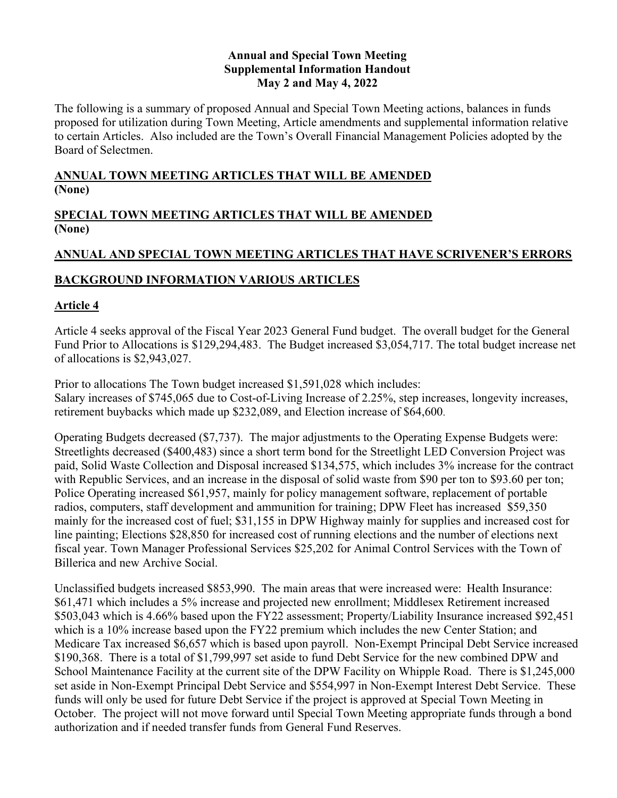#### **Annual and Special Town Meeting Supplemental Information Handout May 2 and May 4, 2022**

The following is a summary of proposed Annual and Special Town Meeting actions, balances in funds proposed for utilization during Town Meeting, Article amendments and supplemental information relative to certain Articles. Also included are the Town's Overall Financial Management Policies adopted by the Board of Selectmen.

# **ANNUAL TOWN MEETING ARTICLES THAT WILL BE AMENDED (None)**

# **SPECIAL TOWN MEETING ARTICLES THAT WILL BE AMENDED (None)**

# **ANNUAL AND SPECIAL TOWN MEETING ARTICLES THAT HAVE SCRIVENER'S ERRORS**

# **BACKGROUND INFORMATION VARIOUS ARTICLES**

# **Article 4**

Article 4 seeks approval of the Fiscal Year 2023 General Fund budget. The overall budget for the General Fund Prior to Allocations is \$129,294,483. The Budget increased \$3,054,717. The total budget increase net of allocations is \$2,943,027.

Prior to allocations The Town budget increased \$1,591,028 which includes: Salary increases of \$745,065 due to Cost-of-Living Increase of 2.25%, step increases, longevity increases, retirement buybacks which made up \$232,089, and Election increase of \$64,600.

Operating Budgets decreased (\$7,737). The major adjustments to the Operating Expense Budgets were: Streetlights decreased (\$400,483) since a short term bond for the Streetlight LED Conversion Project was paid, Solid Waste Collection and Disposal increased \$134,575, which includes 3% increase for the contract with Republic Services, and an increase in the disposal of solid waste from \$90 per ton to \$93.60 per ton; Police Operating increased \$61,957, mainly for policy management software, replacement of portable radios, computers, staff development and ammunition for training; DPW Fleet has increased \$59,350 mainly for the increased cost of fuel; \$31,155 in DPW Highway mainly for supplies and increased cost for line painting; Elections \$28,850 for increased cost of running elections and the number of elections next fiscal year. Town Manager Professional Services \$25,202 for Animal Control Services with the Town of Billerica and new Archive Social.

Unclassified budgets increased \$853,990. The main areas that were increased were: Health Insurance: \$61,471 which includes a 5% increase and projected new enrollment; Middlesex Retirement increased \$503,043 which is 4.66% based upon the FY22 assessment; Property/Liability Insurance increased \$92,451 which is a 10% increase based upon the FY22 premium which includes the new Center Station; and Medicare Tax increased \$6,657 which is based upon payroll. Non-Exempt Principal Debt Service increased \$190,368. There is a total of \$1,799,997 set aside to fund Debt Service for the new combined DPW and School Maintenance Facility at the current site of the DPW Facility on Whipple Road. There is \$1,245,000 set aside in Non-Exempt Principal Debt Service and \$554,997 in Non-Exempt Interest Debt Service. These funds will only be used for future Debt Service if the project is approved at Special Town Meeting in October. The project will not move forward until Special Town Meeting appropriate funds through a bond authorization and if needed transfer funds from General Fund Reserves.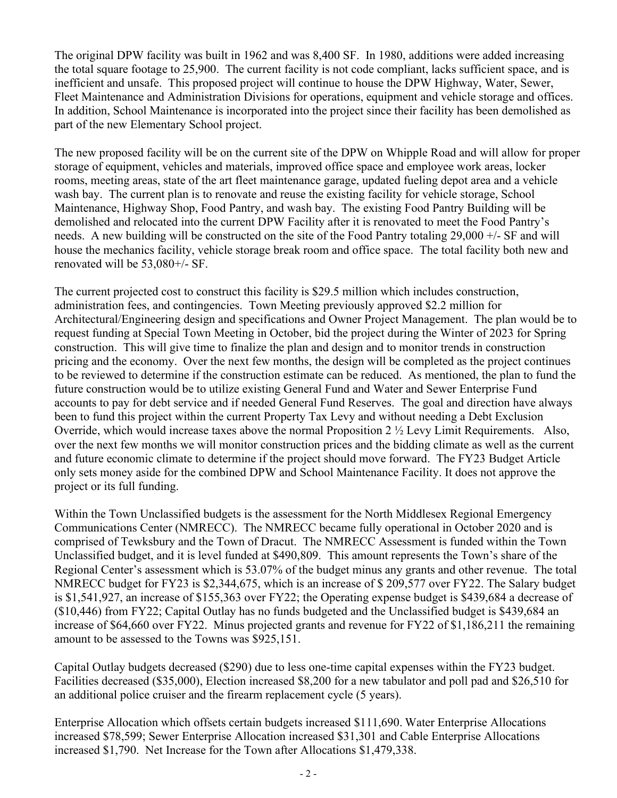The original DPW facility was built in 1962 and was 8,400 SF. In 1980, additions were added increasing the total square footage to 25,900. The current facility is not code compliant, lacks sufficient space, and is inefficient and unsafe. This proposed project will continue to house the DPW Highway, Water, Sewer, Fleet Maintenance and Administration Divisions for operations, equipment and vehicle storage and offices. In addition, School Maintenance is incorporated into the project since their facility has been demolished as part of the new Elementary School project.

The new proposed facility will be on the current site of the DPW on Whipple Road and will allow for proper storage of equipment, vehicles and materials, improved office space and employee work areas, locker rooms, meeting areas, state of the art fleet maintenance garage, updated fueling depot area and a vehicle wash bay. The current plan is to renovate and reuse the existing facility for vehicle storage, School Maintenance, Highway Shop, Food Pantry, and wash bay. The existing Food Pantry Building will be demolished and relocated into the current DPW Facility after it is renovated to meet the Food Pantry's needs. A new building will be constructed on the site of the Food Pantry totaling 29,000 +/- SF and will house the mechanics facility, vehicle storage break room and office space. The total facility both new and renovated will be 53,080+/- SF.

The current projected cost to construct this facility is \$29.5 million which includes construction, administration fees, and contingencies. Town Meeting previously approved \$2.2 million for Architectural/Engineering design and specifications and Owner Project Management. The plan would be to request funding at Special Town Meeting in October, bid the project during the Winter of 2023 for Spring construction. This will give time to finalize the plan and design and to monitor trends in construction pricing and the economy. Over the next few months, the design will be completed as the project continues to be reviewed to determine if the construction estimate can be reduced. As mentioned, the plan to fund the future construction would be to utilize existing General Fund and Water and Sewer Enterprise Fund accounts to pay for debt service and if needed General Fund Reserves. The goal and direction have always been to fund this project within the current Property Tax Levy and without needing a Debt Exclusion Override, which would increase taxes above the normal Proposition 2 ½ Levy Limit Requirements. Also, over the next few months we will monitor construction prices and the bidding climate as well as the current and future economic climate to determine if the project should move forward. The FY23 Budget Article only sets money aside for the combined DPW and School Maintenance Facility. It does not approve the project or its full funding.

Within the Town Unclassified budgets is the assessment for the North Middlesex Regional Emergency Communications Center (NMRECC). The NMRECC became fully operational in October 2020 and is comprised of Tewksbury and the Town of Dracut. The NMRECC Assessment is funded within the Town Unclassified budget, and it is level funded at \$490,809. This amount represents the Town's share of the Regional Center's assessment which is 53.07% of the budget minus any grants and other revenue. The total NMRECC budget for FY23 is \$2,344,675, which is an increase of \$ 209,577 over FY22. The Salary budget is \$1,541,927, an increase of \$155,363 over FY22; the Operating expense budget is \$439,684 a decrease of (\$10,446) from FY22; Capital Outlay has no funds budgeted and the Unclassified budget is \$439,684 an increase of \$64,660 over FY22. Minus projected grants and revenue for FY22 of \$1,186,211 the remaining amount to be assessed to the Towns was \$925,151.

Capital Outlay budgets decreased (\$290) due to less one-time capital expenses within the FY23 budget. Facilities decreased (\$35,000), Election increased \$8,200 for a new tabulator and poll pad and \$26,510 for an additional police cruiser and the firearm replacement cycle (5 years).

Enterprise Allocation which offsets certain budgets increased \$111,690. Water Enterprise Allocations increased \$78,599; Sewer Enterprise Allocation increased \$31,301 and Cable Enterprise Allocations increased \$1,790. Net Increase for the Town after Allocations \$1,479,338.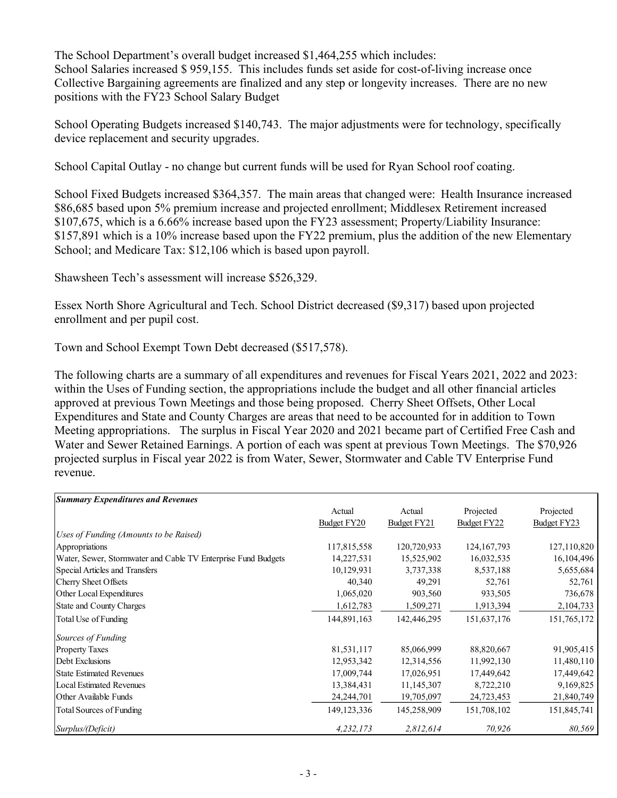The School Department's overall budget increased \$1,464,255 which includes: School Salaries increased \$959,155. This includes funds set aside for cost-of-living increase once Collective Bargaining agreements are finalized and any step or longevity increases. There are no new positions with the FY23 School Salary Budget

School Operating Budgets increased \$140,743. The major adjustments were for technology, specifically device replacement and security upgrades.

School Capital Outlay - no change but current funds will be used for Ryan School roof coating.

School Fixed Budgets increased \$364,357. The main areas that changed were: Health Insurance increased \$86,685 based upon 5% premium increase and projected enrollment; Middlesex Retirement increased \$107,675, which is a 6.66% increase based upon the FY23 assessment; Property/Liability Insurance: \$157,891 which is a 10% increase based upon the FY22 premium, plus the addition of the new Elementary School; and Medicare Tax: \$12,106 which is based upon payroll.

Shawsheen Tech's assessment will increase \$526,329.

Essex North Shore Agricultural and Tech. School District decreased (\$9,317) based upon projected enrollment and per pupil cost.

Town and School Exempt Town Debt decreased (\$517,578).

The following charts are a summary of all expenditures and revenues for Fiscal Years 2021, 2022 and 2023: within the Uses of Funding section, the appropriations include the budget and all other financial articles approved at previous Town Meetings and those being proposed. Cherry Sheet Offsets, Other Local Expenditures and State and County Charges are areas that need to be accounted for in addition to Town Meeting appropriations. The surplus in Fiscal Year 2020 and 2021 became part of Certified Free Cash and Water and Sewer Retained Earnings. A portion of each was spent at previous Town Meetings. The \$70,926 projected surplus in Fiscal year 2022 is from Water, Sewer, Stormwater and Cable TV Enterprise Fund revenue.

| <b>Summary Expenditures and Revenues</b>                      |               |             |               |             |
|---------------------------------------------------------------|---------------|-------------|---------------|-------------|
|                                                               | Actual        | Actual      | Projected     | Projected   |
|                                                               | Budget FY20   | Budget FY21 | Budget FY22   | Budget FY23 |
| Uses of Funding (Amounts to be Raised)                        |               |             |               |             |
| Appropriations                                                | 117,815,558   | 120,720,933 | 124, 167, 793 | 127,110,820 |
| Water, Sewer, Stormwater and Cable TV Enterprise Fund Budgets | 14,227,531    | 15,525,902  | 16,032,535    | 16,104,496  |
| Special Articles and Transfers                                | 10,129,931    | 3,737,338   | 8,537,188     | 5,655,684   |
| Cherry Sheet Offsets                                          | 40,340        | 49,291      | 52,761        | 52,761      |
| Other Local Expenditures                                      | 1,065,020     | 903,560     | 933,505       | 736,678     |
| <b>State and County Charges</b>                               | 1,612,783     | 1,509,271   | 1,913,394     | 2,104,733   |
| Total Use of Funding                                          | 144,891,163   | 142,446,295 | 151,637,176   | 151,765,172 |
| Sources of Funding                                            |               |             |               |             |
| <b>Property Taxes</b>                                         | 81,531,117    | 85,066,999  | 88,820,667    | 91,905,415  |
| Debt Exclusions                                               | 12,953,342    | 12,314,556  | 11,992,130    | 11,480,110  |
| <b>State Estimated Revenues</b>                               | 17,009,744    | 17,026,951  | 17,449,642    | 17,449,642  |
| <b>Local Estimated Revenues</b>                               | 13,384,431    | 11,145,307  | 8,722,210     | 9,169,825   |
| Other Available Funds                                         | 24, 244, 701  | 19,705,097  | 24,723,453    | 21,840,749  |
| Total Sources of Funding                                      | 149, 123, 336 | 145,258,909 | 151,708,102   | 151,845,741 |
| Surplus/(Deficit)                                             | 4,232,173     | 2,812,614   | 70,926        | 80,569      |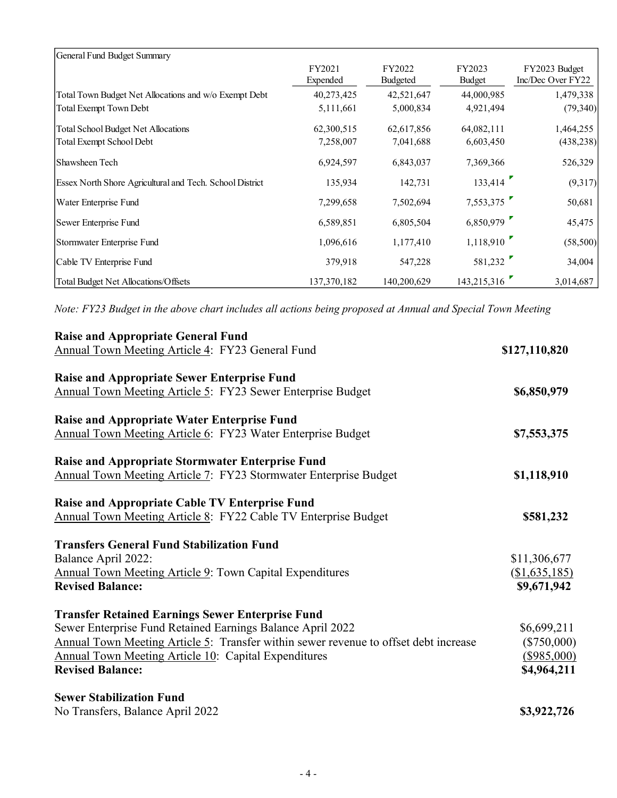| General Fund Budget Summary                              |                    |                    |                  |                                    |
|----------------------------------------------------------|--------------------|--------------------|------------------|------------------------------------|
|                                                          | FY2021<br>Expended | FY2022<br>Budgeted | FY2023<br>Budget | FY2023 Budget<br>Inc/Dec Over FY22 |
| Total Town Budget Net Allocations and w/o Exempt Debt    | 40,273,425         | 42,521,647         | 44,000,985       | 1,479,338                          |
| Total Exempt Town Debt                                   | 5,111,661          | 5,000,834          | 4,921,494        | (79, 340)                          |
| Total School Budget Net Allocations                      | 62,300,515         | 62,617,856         | 64,082,111       | 1,464,255                          |
| Total Exempt School Debt                                 | 7,258,007          | 7,041,688          | 6,603,450        | (438, 238)                         |
| Shawsheen Tech                                           | 6,924,597          | 6,843,037          | 7,369,366        | 526,329                            |
| Essex North Shore Agricultural and Tech. School District | 135,934            | 142,731            | 133,414          | (9,317)                            |
| Water Enterprise Fund                                    | 7,299,658          | 7,502,694          | 7,553,375        | 50,681                             |
| Sewer Enterprise Fund                                    | 6,589,851          | 6,805,504          | 6,850,979        | 45,475                             |
| Stormwater Enterprise Fund                               | 1,096,616          | 1,177,410          | 1,118,910        | (58, 500)                          |
| Cable TV Enterprise Fund                                 | 379,918            | 547,228            | 581,232          | 34,004                             |
| Total Budget Net Allocations/Offsets                     | 137, 370, 182      | 140,200,629        | 143,215,316      | 3,014,687                          |

*Note: FY23 Budget in the above chart includes all actions being proposed at Annual and Special Town Meeting*

| <b>Raise and Appropriate General Fund</b>                                            |                            |
|--------------------------------------------------------------------------------------|----------------------------|
| Annual Town Meeting Article 4: FY23 General Fund                                     | \$127,110,820              |
| <b>Raise and Appropriate Sewer Enterprise Fund</b>                                   |                            |
| Annual Town Meeting Article 5: FY23 Sewer Enterprise Budget                          | \$6,850,979                |
| <b>Raise and Appropriate Water Enterprise Fund</b>                                   |                            |
| Annual Town Meeting Article 6: FY23 Water Enterprise Budget                          | \$7,553,375                |
| <b>Raise and Appropriate Stormwater Enterprise Fund</b>                              |                            |
| Annual Town Meeting Article 7: FY23 Stormwater Enterprise Budget                     | \$1,118,910                |
| Raise and Appropriate Cable TV Enterprise Fund                                       |                            |
| Annual Town Meeting Article 8: FY22 Cable TV Enterprise Budget                       | \$581,232                  |
| <b>Transfers General Fund Stabilization Fund</b>                                     |                            |
| Balance April 2022:                                                                  | \$11,306,677               |
| <b>Annual Town Meeting Article 9: Town Capital Expenditures</b>                      | $(\underline{$1,635,185})$ |
| <b>Revised Balance:</b>                                                              | \$9,671,942                |
| <b>Transfer Retained Earnings Sewer Enterprise Fund</b>                              |                            |
| Sewer Enterprise Fund Retained Earnings Balance April 2022                           | \$6,699,211                |
| Annual Town Meeting Article 5: Transfer within sewer revenue to offset debt increase | $(\$750,000)$              |
| Annual Town Meeting Article 10: Capital Expenditures                                 | (\$985,000)                |
| <b>Revised Balance:</b>                                                              | \$4,964,211                |
| <b>Sewer Stabilization Fund</b>                                                      |                            |
| No Transfers, Balance April 2022                                                     | \$3,922,726                |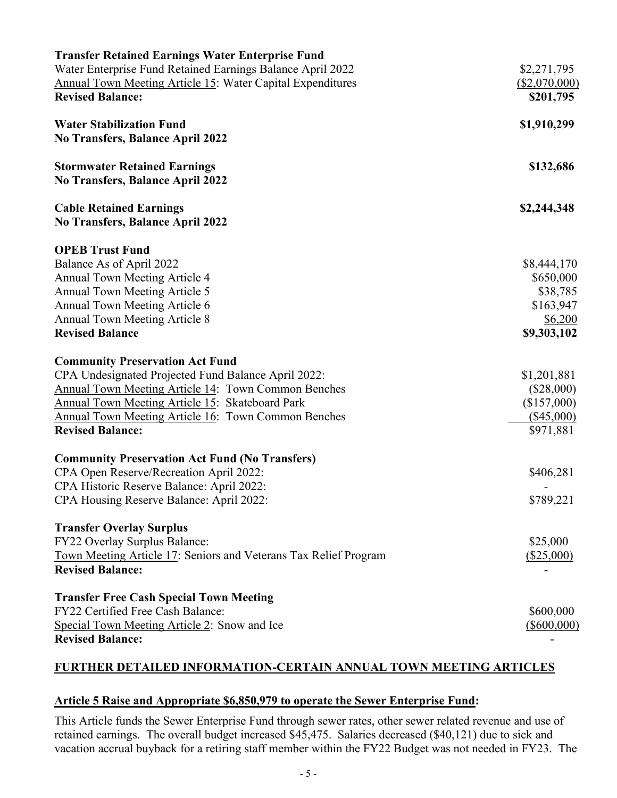| <b>Transfer Retained Earnings Water Enterprise Fund</b>           |                        |
|-------------------------------------------------------------------|------------------------|
| Water Enterprise Fund Retained Earnings Balance April 2022        | \$2,271,795            |
| <b>Annual Town Meeting Article 15: Water Capital Expenditures</b> | (\$2,070,000)          |
| <b>Revised Balance:</b>                                           | \$201,795              |
| <b>Water Stabilization Fund</b>                                   | \$1,910,299            |
| <b>No Transfers, Balance April 2022</b>                           |                        |
| <b>Stormwater Retained Earnings</b>                               | \$132,686              |
| <b>No Transfers, Balance April 2022</b>                           |                        |
| <b>Cable Retained Earnings</b>                                    | \$2,244,348            |
| <b>No Transfers, Balance April 2022</b>                           |                        |
| <b>OPEB Trust Fund</b>                                            |                        |
| Balance As of April 2022                                          | \$8,444,170            |
| Annual Town Meeting Article 4                                     | \$650,000              |
| Annual Town Meeting Article 5                                     | \$38,785               |
| Annual Town Meeting Article 6                                     | \$163,947              |
| Annual Town Meeting Article 8<br><b>Revised Balance</b>           | \$6,200<br>\$9,303,102 |
|                                                                   |                        |
| <b>Community Preservation Act Fund</b>                            |                        |
| CPA Undesignated Projected Fund Balance April 2022:               | \$1,201,881            |
| <b>Annual Town Meeting Article 14: Town Common Benches</b>        | $(\$28,000)$           |
| <b>Annual Town Meeting Article 15: Skateboard Park</b>            | (\$157,000)            |
| Annual Town Meeting Article 16: Town Common Benches               | $(\$45,000)$           |
| <b>Revised Balance:</b>                                           | \$971,881              |
| <b>Community Preservation Act Fund (No Transfers)</b>             |                        |
| CPA Open Reserve/Recreation April 2022:                           | \$406,281              |
| CPA Historic Reserve Balance: April 2022:                         |                        |
| CPA Housing Reserve Balance: April 2022:                          | \$789,221              |
| <b>Transfer Overlay Surplus</b>                                   |                        |
| FY22 Overlay Surplus Balance:                                     | \$25,000               |
| Town Meeting Article 17: Seniors and Veterans Tax Relief Program  | (\$25,000)             |
| <b>Revised Balance:</b>                                           |                        |
| <b>Transfer Free Cash Special Town Meeting</b>                    |                        |
| FY22 Certified Free Cash Balance:                                 | \$600,000              |
| Special Town Meeting Article 2: Snow and Ice                      | $(\$600,000)$          |
| <b>Revised Balance:</b>                                           |                        |

# **FURTHER DETAILED INFORMATION-CERTAIN ANNUAL TOWN MEETING ARTICLES**

## **Article 5 Raise and Appropriate \$6,850,979 to operate the Sewer Enterprise Fund:**

This Article funds the Sewer Enterprise Fund through sewer rates, other sewer related revenue and use of retained earnings. The overall budget increased \$45,475. Salaries decreased (\$40,121) due to sick and vacation accrual buyback for a retiring staff member within the FY22 Budget was not needed in FY23. The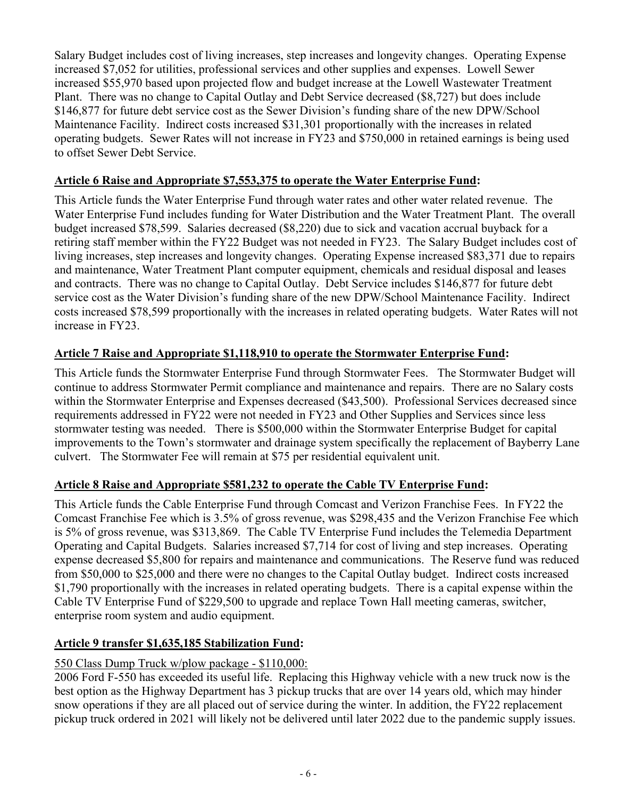Salary Budget includes cost of living increases, step increases and longevity changes. Operating Expense increased \$7,052 for utilities, professional services and other supplies and expenses. Lowell Sewer increased \$55,970 based upon projected flow and budget increase at the Lowell Wastewater Treatment Plant. There was no change to Capital Outlay and Debt Service decreased (\$8,727) but does include \$146,877 for future debt service cost as the Sewer Division's funding share of the new DPW/School Maintenance Facility. Indirect costs increased \$31,301 proportionally with the increases in related operating budgets. Sewer Rates will not increase in FY23 and \$750,000 in retained earnings is being used to offset Sewer Debt Service.

## **Article 6 Raise and Appropriate \$7,553,375 to operate the Water Enterprise Fund:**

This Article funds the Water Enterprise Fund through water rates and other water related revenue. The Water Enterprise Fund includes funding for Water Distribution and the Water Treatment Plant. The overall budget increased \$78,599. Salaries decreased (\$8,220) due to sick and vacation accrual buyback for a retiring staff member within the FY22 Budget was not needed in FY23. The Salary Budget includes cost of living increases, step increases and longevity changes. Operating Expense increased \$83,371 due to repairs and maintenance, Water Treatment Plant computer equipment, chemicals and residual disposal and leases and contracts. There was no change to Capital Outlay. Debt Service includes \$146,877 for future debt service cost as the Water Division's funding share of the new DPW/School Maintenance Facility. Indirect costs increased \$78,599 proportionally with the increases in related operating budgets. Water Rates will not increase in FY23.

# **Article 7 Raise and Appropriate \$1,118,910 to operate the Stormwater Enterprise Fund:**

This Article funds the Stormwater Enterprise Fund through Stormwater Fees. The Stormwater Budget will continue to address Stormwater Permit compliance and maintenance and repairs. There are no Salary costs within the Stormwater Enterprise and Expenses decreased (\$43,500). Professional Services decreased since requirements addressed in FY22 were not needed in FY23 and Other Supplies and Services since less stormwater testing was needed. There is \$500,000 within the Stormwater Enterprise Budget for capital improvements to the Town's stormwater and drainage system specifically the replacement of Bayberry Lane culvert. The Stormwater Fee will remain at \$75 per residential equivalent unit.

# **Article 8 Raise and Appropriate \$581,232 to operate the Cable TV Enterprise Fund:**

This Article funds the Cable Enterprise Fund through Comcast and Verizon Franchise Fees. In FY22 the Comcast Franchise Fee which is 3.5% of gross revenue, was \$298,435 and the Verizon Franchise Fee which is 5% of gross revenue, was \$313,869. The Cable TV Enterprise Fund includes the Telemedia Department Operating and Capital Budgets. Salaries increased \$7,714 for cost of living and step increases. Operating expense decreased \$5,800 for repairs and maintenance and communications. The Reserve fund was reduced from \$50,000 to \$25,000 and there were no changes to the Capital Outlay budget. Indirect costs increased \$1,790 proportionally with the increases in related operating budgets. There is a capital expense within the Cable TV Enterprise Fund of \$229,500 to upgrade and replace Town Hall meeting cameras, switcher, enterprise room system and audio equipment.

# **Article 9 transfer \$1,635,185 Stabilization Fund:**

# 550 Class Dump Truck w/plow package - \$110,000:

2006 Ford F-550 has exceeded its useful life. Replacing this Highway vehicle with a new truck now is the best option as the Highway Department has 3 pickup trucks that are over 14 years old, which may hinder snow operations if they are all placed out of service during the winter. In addition, the FY22 replacement pickup truck ordered in 2021 will likely not be delivered until later 2022 due to the pandemic supply issues.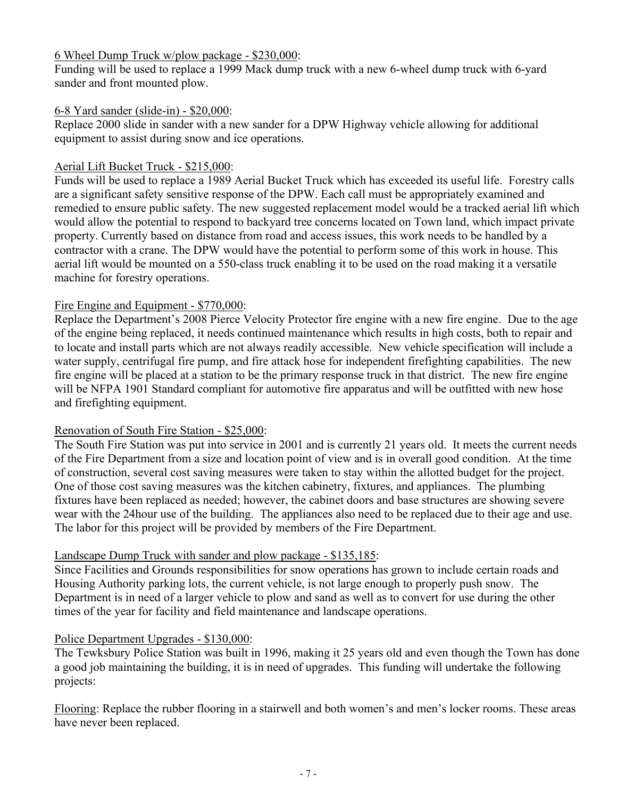#### 6 Wheel Dump Truck w/plow package - \$230,000:

Funding will be used to replace a 1999 Mack dump truck with a new 6-wheel dump truck with 6-yard sander and front mounted plow.

#### 6-8 Yard sander (slide-in) - \$20,000:

Replace 2000 slide in sander with a new sander for a DPW Highway vehicle allowing for additional equipment to assist during snow and ice operations.

# Aerial Lift Bucket Truck - \$215,000:

Funds will be used to replace a 1989 Aerial Bucket Truck which has exceeded its useful life. Forestry calls are a significant safety sensitive response of the DPW. Each call must be appropriately examined and remedied to ensure public safety. The new suggested replacement model would be a tracked aerial lift which would allow the potential to respond to backyard tree concerns located on Town land, which impact private property. Currently based on distance from road and access issues, this work needs to be handled by a contractor with a crane. The DPW would have the potential to perform some of this work in house. This aerial lift would be mounted on a 550-class truck enabling it to be used on the road making it a versatile machine for forestry operations.

#### Fire Engine and Equipment - \$770,000:

Replace the Department's 2008 Pierce Velocity Protector fire engine with a new fire engine. Due to the age of the engine being replaced, it needs continued maintenance which results in high costs, both to repair and to locate and install parts which are not always readily accessible. New vehicle specification will include a water supply, centrifugal fire pump, and fire attack hose for independent firefighting capabilities. The new fire engine will be placed at a station to be the primary response truck in that district. The new fire engine will be NFPA 1901 Standard compliant for automotive fire apparatus and will be outfitted with new hose and firefighting equipment.

#### Renovation of South Fire Station - \$25,000:

The South Fire Station was put into service in 2001 and is currently 21 years old. It meets the current needs of the Fire Department from a size and location point of view and is in overall good condition. At the time of construction, several cost saving measures were taken to stay within the allotted budget for the project. One of those cost saving measures was the kitchen cabinetry, fixtures, and appliances. The plumbing fixtures have been replaced as needed; however, the cabinet doors and base structures are showing severe wear with the 24hour use of the building. The appliances also need to be replaced due to their age and use. The labor for this project will be provided by members of the Fire Department.

#### Landscape Dump Truck with sander and plow package - \$135,185:

Since Facilities and Grounds responsibilities for snow operations has grown to include certain roads and Housing Authority parking lots, the current vehicle, is not large enough to properly push snow. The Department is in need of a larger vehicle to plow and sand as well as to convert for use during the other times of the year for facility and field maintenance and landscape operations.

#### Police Department Upgrades - \$130,000:

The Tewksbury Police Station was built in 1996, making it 25 years old and even though the Town has done a good job maintaining the building, it is in need of upgrades. This funding will undertake the following projects:

Flooring: Replace the rubber flooring in a stairwell and both women's and men's locker rooms. These areas have never been replaced.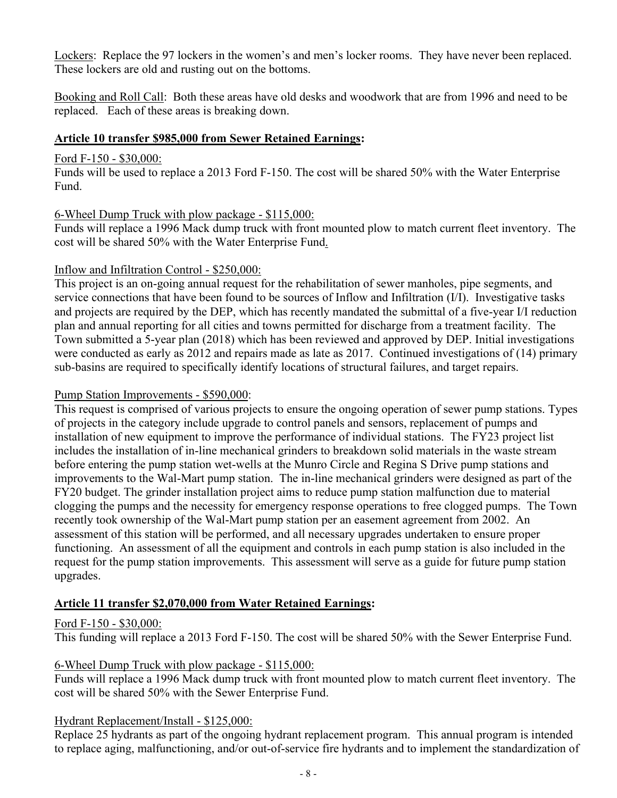Lockers: Replace the 97 lockers in the women's and men's locker rooms. They have never been replaced. These lockers are old and rusting out on the bottoms.

Booking and Roll Call: Both these areas have old desks and woodwork that are from 1996 and need to be replaced. Each of these areas is breaking down.

#### **Article 10 transfer \$985,000 from Sewer Retained Earnings:**

#### Ford F-150 - \$30,000:

Funds will be used to replace a 2013 Ford F-150. The cost will be shared 50% with the Water Enterprise Fund.

## 6-Wheel Dump Truck with plow package - \$115,000:

Funds will replace a 1996 Mack dump truck with front mounted plow to match current fleet inventory. The cost will be shared 50% with the Water Enterprise Fund.

## Inflow and Infiltration Control - \$250,000:

This project is an on-going annual request for the rehabilitation of sewer manholes, pipe segments, and service connections that have been found to be sources of Inflow and Infiltration (I/I). Investigative tasks and projects are required by the DEP, which has recently mandated the submittal of a five-year I/I reduction plan and annual reporting for all cities and towns permitted for discharge from a treatment facility. The Town submitted a 5-year plan (2018) which has been reviewed and approved by DEP. Initial investigations were conducted as early as 2012 and repairs made as late as 2017. Continued investigations of (14) primary sub-basins are required to specifically identify locations of structural failures, and target repairs.

#### Pump Station Improvements - \$590,000:

This request is comprised of various projects to ensure the ongoing operation of sewer pump stations. Types of projects in the category include upgrade to control panels and sensors, replacement of pumps and installation of new equipment to improve the performance of individual stations. The FY23 project list includes the installation of in-line mechanical grinders to breakdown solid materials in the waste stream before entering the pump station wet-wells at the Munro Circle and Regina S Drive pump stations and improvements to the Wal-Mart pump station. The in-line mechanical grinders were designed as part of the FY20 budget. The grinder installation project aims to reduce pump station malfunction due to material clogging the pumps and the necessity for emergency response operations to free clogged pumps. The Town recently took ownership of the Wal-Mart pump station per an easement agreement from 2002. An assessment of this station will be performed, and all necessary upgrades undertaken to ensure proper functioning. An assessment of all the equipment and controls in each pump station is also included in the request for the pump station improvements. This assessment will serve as a guide for future pump station upgrades.

## **Article 11 transfer \$2,070,000 from Water Retained Earnings:**

## Ford F-150 - \$30,000:

This funding will replace a 2013 Ford F-150. The cost will be shared 50% with the Sewer Enterprise Fund.

## 6-Wheel Dump Truck with plow package - \$115,000:

Funds will replace a 1996 Mack dump truck with front mounted plow to match current fleet inventory. The cost will be shared 50% with the Sewer Enterprise Fund.

## Hydrant Replacement/Install - \$125,000:

Replace 25 hydrants as part of the ongoing hydrant replacement program. This annual program is intended to replace aging, malfunctioning, and/or out-of-service fire hydrants and to implement the standardization of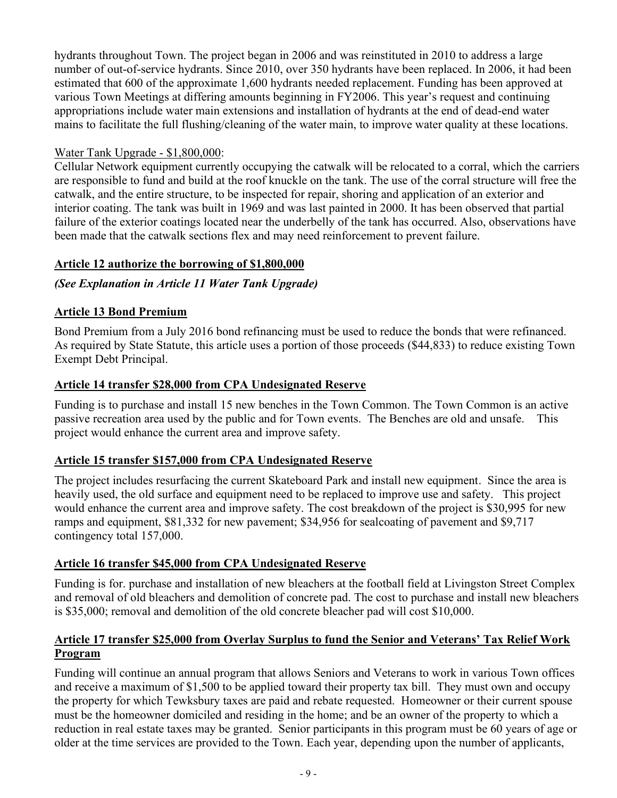hydrants throughout Town. The project began in 2006 and was reinstituted in 2010 to address a large number of out-of-service hydrants. Since 2010, over 350 hydrants have been replaced. In 2006, it had been estimated that 600 of the approximate 1,600 hydrants needed replacement. Funding has been approved at various Town Meetings at differing amounts beginning in FY2006. This year's request and continuing appropriations include water main extensions and installation of hydrants at the end of dead-end water mains to facilitate the full flushing/cleaning of the water main, to improve water quality at these locations.

## Water Tank Upgrade - \$1,800,000:

Cellular Network equipment currently occupying the catwalk will be relocated to a corral, which the carriers are responsible to fund and build at the roof knuckle on the tank. The use of the corral structure will free the catwalk, and the entire structure, to be inspected for repair, shoring and application of an exterior and interior coating. The tank was built in 1969 and was last painted in 2000. It has been observed that partial failure of the exterior coatings located near the underbelly of the tank has occurred. Also, observations have been made that the catwalk sections flex and may need reinforcement to prevent failure.

# **Article 12 authorize the borrowing of \$1,800,000**

# *(See Explanation in Article 11 Water Tank Upgrade)*

## **Article 13 Bond Premium**

Bond Premium from a July 2016 bond refinancing must be used to reduce the bonds that were refinanced. As required by State Statute, this article uses a portion of those proceeds (\$44,833) to reduce existing Town Exempt Debt Principal.

# **Article 14 transfer \$28,000 from CPA Undesignated Reserve**

Funding is to purchase and install 15 new benches in the Town Common. The Town Common is an active passive recreation area used by the public and for Town events. The Benches are old and unsafe. This project would enhance the current area and improve safety.

## **Article 15 transfer \$157,000 from CPA Undesignated Reserve**

The project includes resurfacing the current Skateboard Park and install new equipment. Since the area is heavily used, the old surface and equipment need to be replaced to improve use and safety. This project would enhance the current area and improve safety. The cost breakdown of the project is \$30,995 for new ramps and equipment, \$81,332 for new pavement; \$34,956 for sealcoating of pavement and \$9,717 contingency total 157,000.

## **Article 16 transfer \$45,000 from CPA Undesignated Reserve**

Funding is for. purchase and installation of new bleachers at the football field at Livingston Street Complex and removal of old bleachers and demolition of concrete pad. The cost to purchase and install new bleachers is \$35,000; removal and demolition of the old concrete bleacher pad will cost \$10,000.

## **Article 17 transfer \$25,000 from Overlay Surplus to fund the Senior and Veterans' Tax Relief Work Program**

Funding will continue an annual program that allows Seniors and Veterans to work in various Town offices and receive a maximum of \$1,500 to be applied toward their property tax bill. They must own and occupy the property for which Tewksbury taxes are paid and rebate requested. Homeowner or their current spouse must be the homeowner domiciled and residing in the home; and be an owner of the property to which a reduction in real estate taxes may be granted. Senior participants in this program must be 60 years of age or older at the time services are provided to the Town. Each year, depending upon the number of applicants,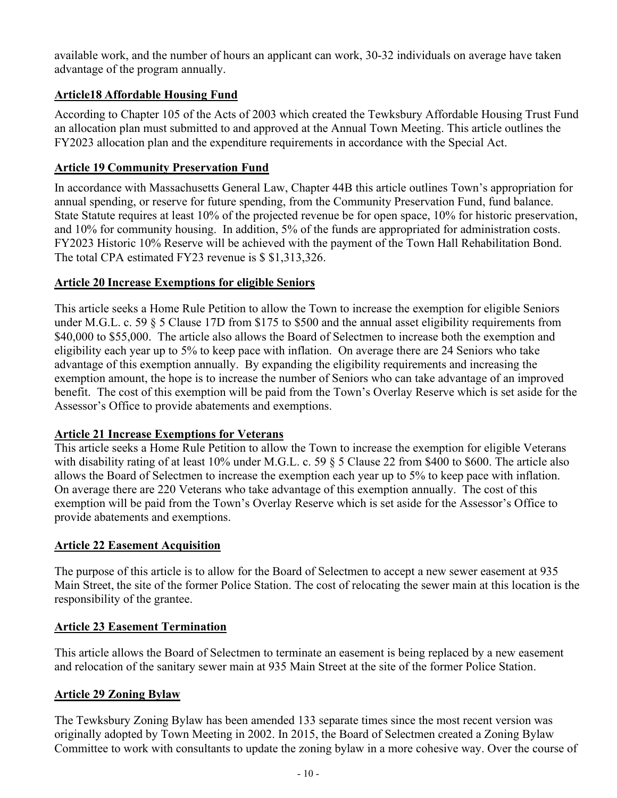available work, and the number of hours an applicant can work, 30-32 individuals on average have taken advantage of the program annually.

# **Article18 Affordable Housing Fund**

According to Chapter 105 of the Acts of 2003 which created the Tewksbury Affordable Housing Trust Fund an allocation plan must submitted to and approved at the Annual Town Meeting. This article outlines the FY2023 allocation plan and the expenditure requirements in accordance with the Special Act.

## **Article 19 Community Preservation Fund**

In accordance with Massachusetts General Law, Chapter 44B this article outlines Town's appropriation for annual spending, or reserve for future spending, from the Community Preservation Fund, fund balance. State Statute requires at least 10% of the projected revenue be for open space, 10% for historic preservation, and 10% for community housing. In addition, 5% of the funds are appropriated for administration costs. FY2023 Historic 10% Reserve will be achieved with the payment of the Town Hall Rehabilitation Bond. The total CPA estimated FY23 revenue is \$ \$1,313,326.

#### **Article 20 Increase Exemptions for eligible Seniors**

This article seeks a Home Rule Petition to allow the Town to increase the exemption for eligible Seniors under M.G.L. c. 59 § 5 Clause 17D from \$175 to \$500 and the annual asset eligibility requirements from \$40,000 to \$55,000. The article also allows the Board of Selectmen to increase both the exemption and eligibility each year up to 5% to keep pace with inflation. On average there are 24 Seniors who take advantage of this exemption annually. By expanding the eligibility requirements and increasing the exemption amount, the hope is to increase the number of Seniors who can take advantage of an improved benefit. The cost of this exemption will be paid from the Town's Overlay Reserve which is set aside for the Assessor's Office to provide abatements and exemptions.

## **Article 21 Increase Exemptions for Veterans**

This article seeks a Home Rule Petition to allow the Town to increase the exemption for eligible Veterans with disability rating of at least 10% under M.G.L. c. 59  $\frac{8}{5}$  Clause 22 from \$400 to \$600. The article also allows the Board of Selectmen to increase the exemption each year up to 5% to keep pace with inflation. On average there are 220 Veterans who take advantage of this exemption annually. The cost of this exemption will be paid from the Town's Overlay Reserve which is set aside for the Assessor's Office to provide abatements and exemptions.

## **Article 22 Easement Acquisition**

The purpose of this article is to allow for the Board of Selectmen to accept a new sewer easement at 935 Main Street, the site of the former Police Station. The cost of relocating the sewer main at this location is the responsibility of the grantee.

## **Article 23 Easement Termination**

This article allows the Board of Selectmen to terminate an easement is being replaced by a new easement and relocation of the sanitary sewer main at 935 Main Street at the site of the former Police Station.

## **Article 29 Zoning Bylaw**

The Tewksbury Zoning Bylaw has been amended 133 separate times since the most recent version was originally adopted by Town Meeting in 2002. In 2015, the Board of Selectmen created a Zoning Bylaw Committee to work with consultants to update the zoning bylaw in a more cohesive way. Over the course of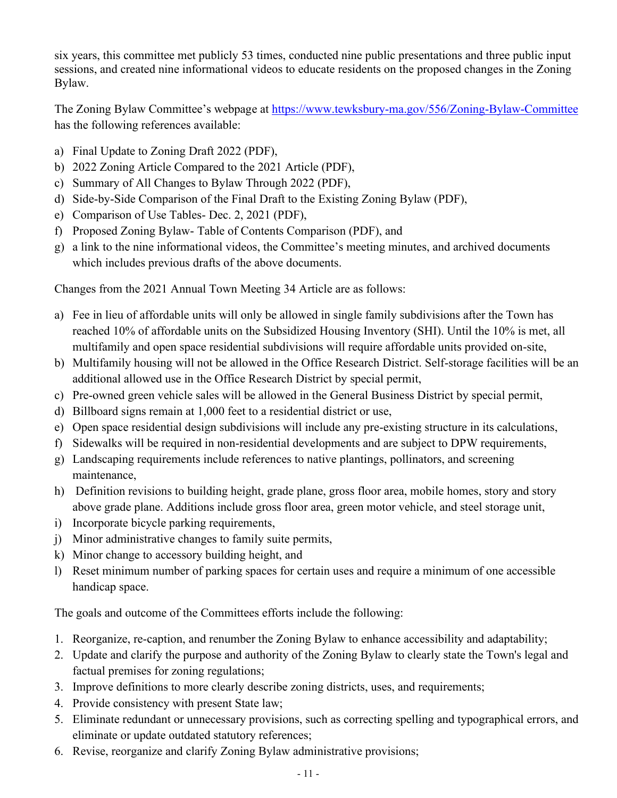six years, this committee met publicly 53 times, conducted nine public presentations and three public input sessions, and created nine informational videos to educate residents on the proposed changes in the Zoning Bylaw.

The Zoning Bylaw Committee's webpage at<https://www.tewksbury-ma.gov/556/Zoning-Bylaw-Committee> has the following references available:

- a) Final Update to Zoning Draft 2022 (PDF),
- b) 2022 Zoning Article Compared to the 2021 Article (PDF),
- c) Summary of All Changes to Bylaw Through 2022 (PDF),
- d) Side-by-Side Comparison of the Final Draft to the Existing Zoning Bylaw (PDF),
- e) Comparison of Use Tables- Dec. 2, 2021 (PDF),
- f) Proposed Zoning Bylaw- Table of Contents Comparison (PDF), and
- g) a link to the nine informational videos, the Committee's meeting minutes, and archived documents which includes previous drafts of the above documents.

Changes from the 2021 Annual Town Meeting 34 Article are as follows:

- a) Fee in lieu of affordable units will only be allowed in single family subdivisions after the Town has reached 10% of affordable units on the Subsidized Housing Inventory (SHI). Until the 10% is met, all multifamily and open space residential subdivisions will require affordable units provided on-site,
- b) Multifamily housing will not be allowed in the Office Research District. Self-storage facilities will be an additional allowed use in the Office Research District by special permit,
- c) Pre-owned green vehicle sales will be allowed in the General Business District by special permit,
- d) Billboard signs remain at 1,000 feet to a residential district or use,
- e) Open space residential design subdivisions will include any pre-existing structure in its calculations,
- f) Sidewalks will be required in non-residential developments and are subject to DPW requirements,
- g) Landscaping requirements include references to native plantings, pollinators, and screening maintenance,
- h) Definition revisions to building height, grade plane, gross floor area, mobile homes, story and story above grade plane. Additions include gross floor area, green motor vehicle, and steel storage unit,
- i) Incorporate bicycle parking requirements,
- j) Minor administrative changes to family suite permits,
- k) Minor change to accessory building height, and
- l) Reset minimum number of parking spaces for certain uses and require a minimum of one accessible handicap space.

The goals and outcome of the Committees efforts include the following:

- 1. Reorganize, re-caption, and renumber the Zoning Bylaw to enhance accessibility and adaptability;
- 2. Update and clarify the purpose and authority of the Zoning Bylaw to clearly state the Town's legal and factual premises for zoning regulations;
- 3. Improve definitions to more clearly describe zoning districts, uses, and requirements;
- 4. Provide consistency with present State law;
- 5. Eliminate redundant or unnecessary provisions, such as correcting spelling and typographical errors, and eliminate or update outdated statutory references;
- 6. Revise, reorganize and clarify Zoning Bylaw administrative provisions;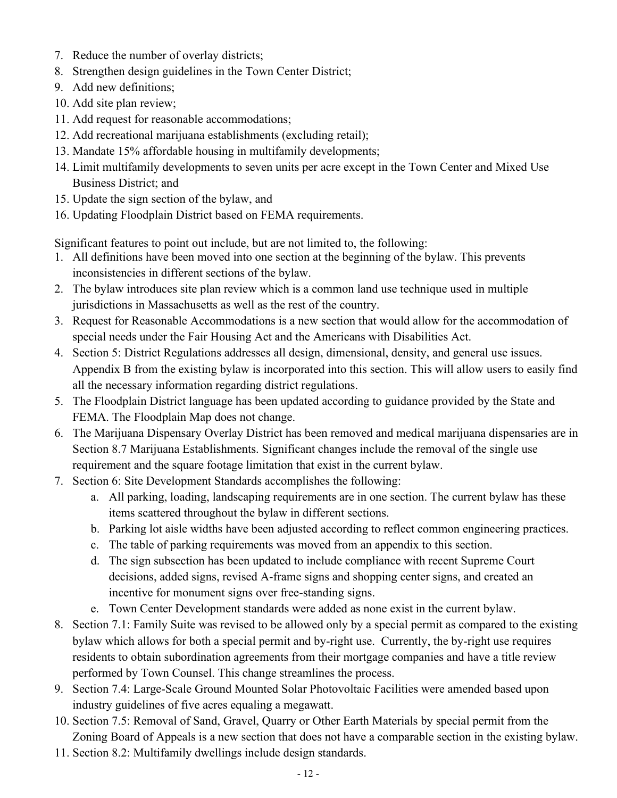- 7. Reduce the number of overlay districts;
- 8. Strengthen design guidelines in the Town Center District;
- 9. Add new definitions;
- 10. Add site plan review;
- 11. Add request for reasonable accommodations;
- 12. Add recreational marijuana establishments (excluding retail);
- 13. Mandate 15% affordable housing in multifamily developments;
- 14. Limit multifamily developments to seven units per acre except in the Town Center and Mixed Use Business District; and
- 15. Update the sign section of the bylaw, and
- 16. Updating Floodplain District based on FEMA requirements.

Significant features to point out include, but are not limited to, the following:

- 1. All definitions have been moved into one section at the beginning of the bylaw. This prevents inconsistencies in different sections of the bylaw.
- 2. The bylaw introduces site plan review which is a common land use technique used in multiple jurisdictions in Massachusetts as well as the rest of the country.
- 3. Request for Reasonable Accommodations is a new section that would allow for the accommodation of special needs under the Fair Housing Act and the Americans with Disabilities Act.
- 4. Section 5: District Regulations addresses all design, dimensional, density, and general use issues. Appendix B from the existing bylaw is incorporated into this section. This will allow users to easily find all the necessary information regarding district regulations.
- 5. The Floodplain District language has been updated according to guidance provided by the State and FEMA. The Floodplain Map does not change.
- 6. The Marijuana Dispensary Overlay District has been removed and medical marijuana dispensaries are in Section 8.7 Marijuana Establishments. Significant changes include the removal of the single use requirement and the square footage limitation that exist in the current bylaw.
- 7. Section 6: Site Development Standards accomplishes the following:
	- a. All parking, loading, landscaping requirements are in one section. The current bylaw has these items scattered throughout the bylaw in different sections.
	- b. Parking lot aisle widths have been adjusted according to reflect common engineering practices.
	- c. The table of parking requirements was moved from an appendix to this section.
	- d. The sign subsection has been updated to include compliance with recent Supreme Court decisions, added signs, revised A-frame signs and shopping center signs, and created an incentive for monument signs over free-standing signs.
	- e. Town Center Development standards were added as none exist in the current bylaw.
- 8. Section 7.1: Family Suite was revised to be allowed only by a special permit as compared to the existing bylaw which allows for both a special permit and by-right use. Currently, the by-right use requires residents to obtain subordination agreements from their mortgage companies and have a title review performed by Town Counsel. This change streamlines the process.
- 9. Section 7.4: Large-Scale Ground Mounted Solar Photovoltaic Facilities were amended based upon industry guidelines of five acres equaling a megawatt.
- 10. Section 7.5: Removal of Sand, Gravel, Quarry or Other Earth Materials by special permit from the Zoning Board of Appeals is a new section that does not have a comparable section in the existing bylaw.
- 11. Section 8.2: Multifamily dwellings include design standards.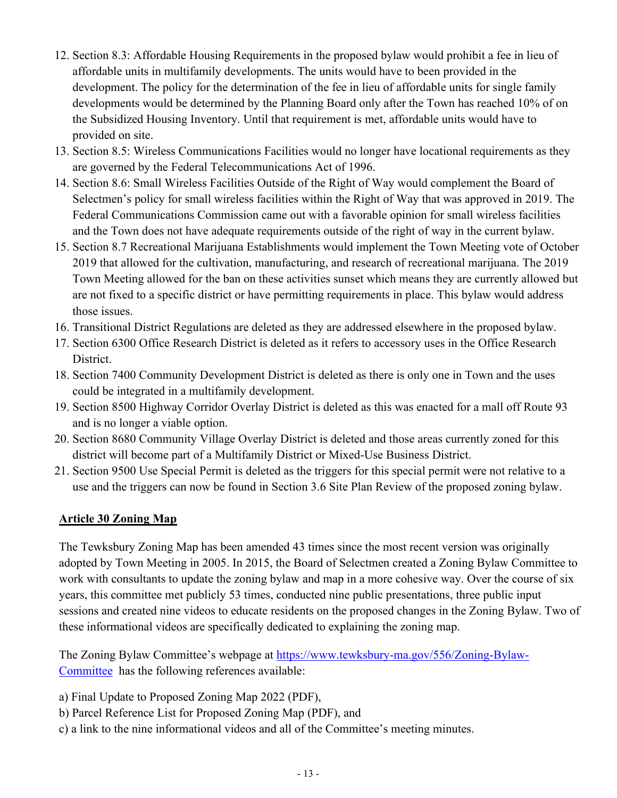- 12. Section 8.3: Affordable Housing Requirements in the proposed bylaw would prohibit a fee in lieu of affordable units in multifamily developments. The units would have to been provided in the development. The policy for the determination of the fee in lieu of affordable units for single family developments would be determined by the Planning Board only after the Town has reached 10% of on the Subsidized Housing Inventory. Until that requirement is met, affordable units would have to provided on site.
- 13. Section 8.5: Wireless Communications Facilities would no longer have locational requirements as they are governed by the Federal Telecommunications Act of 1996.
- 14. Section 8.6: Small Wireless Facilities Outside of the Right of Way would complement the Board of Selectmen's policy for small wireless facilities within the Right of Way that was approved in 2019. The Federal Communications Commission came out with a favorable opinion for small wireless facilities and the Town does not have adequate requirements outside of the right of way in the current bylaw.
- 15. Section 8.7 Recreational Marijuana Establishments would implement the Town Meeting vote of October 2019 that allowed for the cultivation, manufacturing, and research of recreational marijuana. The 2019 Town Meeting allowed for the ban on these activities sunset which means they are currently allowed but are not fixed to a specific district or have permitting requirements in place. This bylaw would address those issues.
- 16. Transitional District Regulations are deleted as they are addressed elsewhere in the proposed bylaw.
- 17. Section 6300 Office Research District is deleted as it refers to accessory uses in the Office Research District.
- 18. Section 7400 Community Development District is deleted as there is only one in Town and the uses could be integrated in a multifamily development.
- 19. Section 8500 Highway Corridor Overlay District is deleted as this was enacted for a mall off Route 93 and is no longer a viable option.
- 20. Section 8680 Community Village Overlay District is deleted and those areas currently zoned for this district will become part of a Multifamily District or Mixed-Use Business District.
- 21. Section 9500 Use Special Permit is deleted as the triggers for this special permit were not relative to a use and the triggers can now be found in Section 3.6 Site Plan Review of the proposed zoning bylaw.

## **Article 30 Zoning Map**

The Tewksbury Zoning Map has been amended 43 times since the most recent version was originally adopted by Town Meeting in 2005. In 2015, the Board of Selectmen created a Zoning Bylaw Committee to work with consultants to update the zoning bylaw and map in a more cohesive way. Over the course of six years, this committee met publicly 53 times, conducted nine public presentations, three public input sessions and created nine videos to educate residents on the proposed changes in the Zoning Bylaw. Two of these informational videos are specifically dedicated to explaining the zoning map.

The Zoning Bylaw Committee's webpage at [https://www.tewksbury-ma.gov/556/Zoning-Bylaw-](https://www.tewksbury-ma.gov/556/Zoning-Bylaw-Committee)[Committee](https://www.tewksbury-ma.gov/556/Zoning-Bylaw-Committee) has the following references available:

- a) Final Update to Proposed Zoning Map 2022 (PDF),
- b) Parcel Reference List for Proposed Zoning Map (PDF), and
- c) a link to the nine informational videos and all of the Committee's meeting minutes.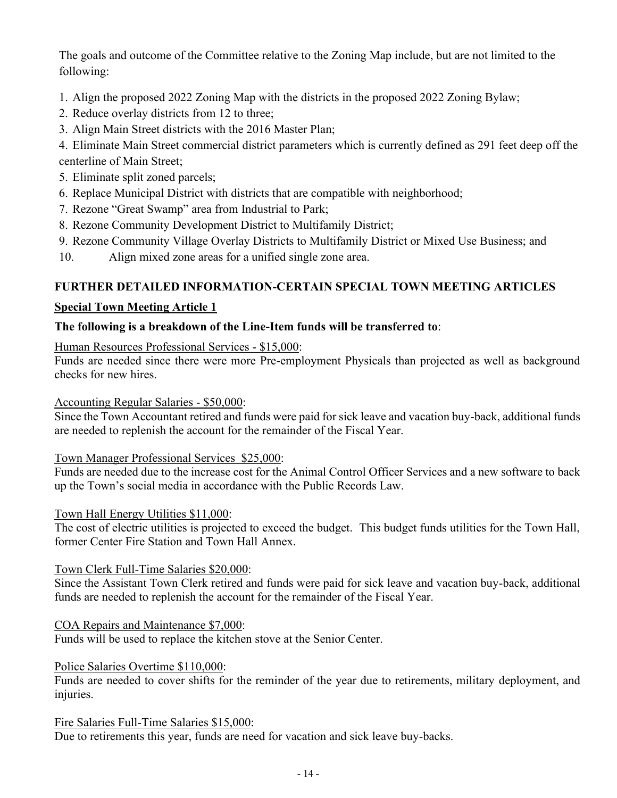The goals and outcome of the Committee relative to the Zoning Map include, but are not limited to the following:

- 1. Align the proposed 2022 Zoning Map with the districts in the proposed 2022 Zoning Bylaw;
- 2. Reduce overlay districts from 12 to three;
- 3. Align Main Street districts with the 2016 Master Plan;

4. Eliminate Main Street commercial district parameters which is currently defined as 291 feet deep off the centerline of Main Street;

- 5. Eliminate split zoned parcels;
- 6. Replace Municipal District with districts that are compatible with neighborhood;
- 7. Rezone "Great Swamp" area from Industrial to Park;
- 8. Rezone Community Development District to Multifamily District;
- 9. Rezone Community Village Overlay Districts to Multifamily District or Mixed Use Business; and
- 10. Align mixed zone areas for a unified single zone area.

# **FURTHER DETAILED INFORMATION-CERTAIN SPECIAL TOWN MEETING ARTICLES**

## **Special Town Meeting Article 1**

# **The following is a breakdown of the Line-Item funds will be transferred to**:

Human Resources Professional Services - \$15,000:

Funds are needed since there were more Pre-employment Physicals than projected as well as background checks for new hires.

#### Accounting Regular Salaries - \$50,000:

Since the Town Accountant retired and funds were paid for sick leave and vacation buy-back, additional funds are needed to replenish the account for the remainder of the Fiscal Year.

#### Town Manager Professional Services \$25,000:

Funds are needed due to the increase cost for the Animal Control Officer Services and a new software to back up the Town's social media in accordance with the Public Records Law.

#### Town Hall Energy Utilities \$11,000:

The cost of electric utilities is projected to exceed the budget. This budget funds utilities for the Town Hall, former Center Fire Station and Town Hall Annex.

#### Town Clerk Full-Time Salaries \$20,000:

Since the Assistant Town Clerk retired and funds were paid for sick leave and vacation buy-back, additional funds are needed to replenish the account for the remainder of the Fiscal Year.

## COA Repairs and Maintenance \$7,000:

Funds will be used to replace the kitchen stove at the Senior Center.

#### Police Salaries Overtime \$110,000:

Funds are needed to cover shifts for the reminder of the year due to retirements, military deployment, and injuries.

#### Fire Salaries Full-Time Salaries \$15,000:

Due to retirements this year, funds are need for vacation and sick leave buy-backs.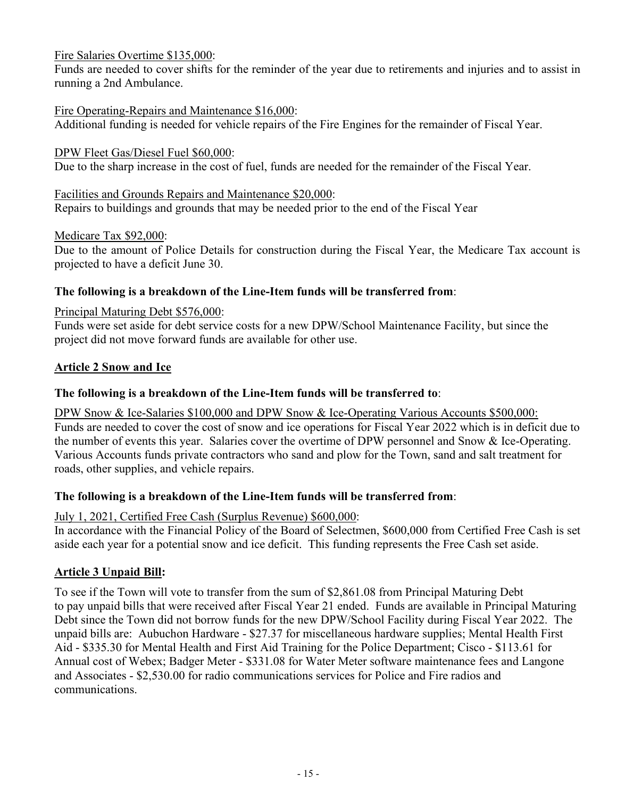Fire Salaries Overtime \$135,000:

Funds are needed to cover shifts for the reminder of the year due to retirements and injuries and to assist in running a 2nd Ambulance.

## Fire Operating-Repairs and Maintenance \$16,000:

Additional funding is needed for vehicle repairs of the Fire Engines for the remainder of Fiscal Year.

DPW Fleet Gas/Diesel Fuel \$60,000:

Due to the sharp increase in the cost of fuel, funds are needed for the remainder of the Fiscal Year.

Facilities and Grounds Repairs and Maintenance \$20,000: Repairs to buildings and grounds that may be needed prior to the end of the Fiscal Year

Medicare Tax \$92,000:

Due to the amount of Police Details for construction during the Fiscal Year, the Medicare Tax account is projected to have a deficit June 30.

# **The following is a breakdown of the Line-Item funds will be transferred from**:

#### Principal Maturing Debt \$576,000:

Funds were set aside for debt service costs for a new DPW/School Maintenance Facility, but since the project did not move forward funds are available for other use.

## **Article 2 Snow and Ice**

## **The following is a breakdown of the Line-Item funds will be transferred to**:

DPW Snow & Ice-Salaries \$100,000 and DPW Snow & Ice-Operating Various Accounts \$500,000: Funds are needed to cover the cost of snow and ice operations for Fiscal Year 2022 which is in deficit due to the number of events this year. Salaries cover the overtime of DPW personnel and Snow & Ice-Operating. Various Accounts funds private contractors who sand and plow for the Town, sand and salt treatment for roads, other supplies, and vehicle repairs.

## **The following is a breakdown of the Line-Item funds will be transferred from**:

July 1, 2021, Certified Free Cash (Surplus Revenue) \$600,000:

In accordance with the Financial Policy of the Board of Selectmen, \$600,000 from Certified Free Cash is set aside each year for a potential snow and ice deficit. This funding represents the Free Cash set aside.

## **Article 3 Unpaid Bill:**

To see if the Town will vote to transfer from the sum of \$2,861.08 from Principal Maturing Debt to pay unpaid bills that were received after Fiscal Year 21 ended. Funds are available in Principal Maturing Debt since the Town did not borrow funds for the new DPW/School Facility during Fiscal Year 2022. The unpaid bills are: Aubuchon Hardware - \$27.37 for miscellaneous hardware supplies; Mental Health First Aid - \$335.30 for Mental Health and First Aid Training for the Police Department; Cisco - \$113.61 for Annual cost of Webex; Badger Meter - \$331.08 for Water Meter software maintenance fees and Langone and Associates - \$2,530.00 for radio communications services for Police and Fire radios and communications.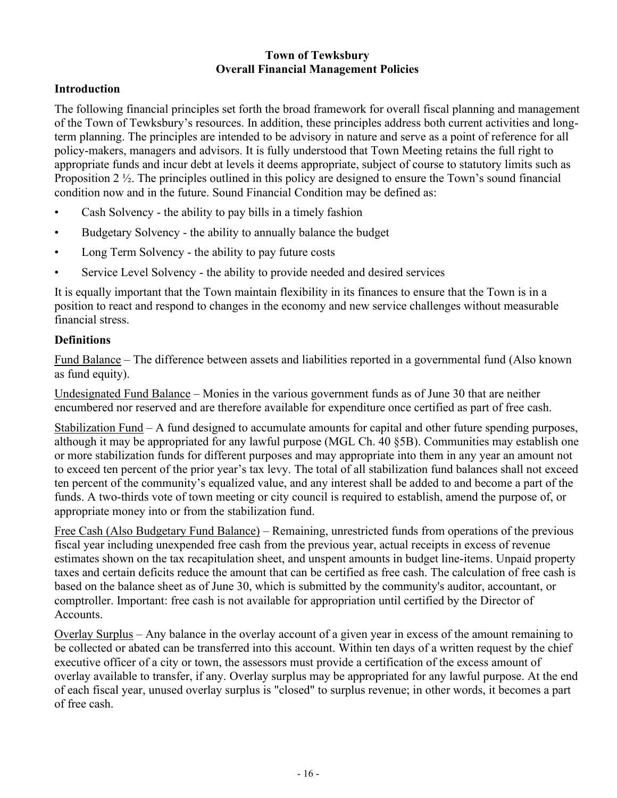# **Town of Tewksbury Overall Financial Management Policies**

# **Introduction**

The following financial principles set forth the broad framework for overall fiscal planning and management of the Town of Tewksbury's resources. In addition, these principles address both current activities and longterm planning. The principles are intended to be advisory in nature and serve as a point of reference for all policy-makers, managers and advisors. It is fully understood that Town Meeting retains the full right to appropriate funds and incur debt at levels it deems appropriate, subject of course to statutory limits such as Proposition 2  $\frac{1}{2}$ . The principles outlined in this policy are designed to ensure the Town's sound financial condition now and in the future. Sound Financial Condition may be defined as:

- Cash Solvency the ability to pay bills in a timely fashion
- Budgetary Solvency the ability to annually balance the budget
- Long Term Solvency the ability to pay future costs
- Service Level Solvency the ability to provide needed and desired services

It is equally important that the Town maintain flexibility in its finances to ensure that the Town is in a position to react and respond to changes in the economy and new service challenges without measurable financial stress.

# **Definitions**

Fund Balance – The difference between assets and liabilities reported in a governmental fund (Also known as fund equity).

Undesignated Fund Balance – Monies in the various government funds as of June 30 that are neither encumbered nor reserved and are therefore available for expenditure once certified as part of free cash.

Stabilization Fund – A fund designed to accumulate amounts for capital and other future spending purposes, although it may be appropriated for any lawful purpose (MGL Ch. 40 §5B). Communities may establish one or more stabilization funds for different purposes and may appropriate into them in any year an amount not to exceed ten percent of the prior year's tax levy. The total of all stabilization fund balances shall not exceed ten percent of the community's equalized value, and any interest shall be added to and become a part of the funds. A two-thirds vote of town meeting or city council is required to establish, amend the purpose of, or appropriate money into or from the stabilization fund.

Free Cash (Also Budgetary Fund Balance) – Remaining, unrestricted funds from operations of the previous fiscal year including unexpended free cash from the previous year, actual receipts in excess of revenue estimates shown on the tax recapitulation sheet, and unspent amounts in budget line-items. Unpaid property taxes and certain deficits reduce the amount that can be certified as free cash. The calculation of free cash is based on the balance sheet as of June 30, which is submitted by the community's auditor, accountant, or comptroller. Important: free cash is not available for appropriation until certified by the Director of Accounts.

Overlay Surplus – Any balance in the overlay account of a given year in excess of the amount remaining to be collected or abated can be transferred into this account. Within ten days of a written request by the chief executive officer of a city or town, the assessors must provide a certification of the excess amount of overlay available to transfer, if any. Overlay surplus may be appropriated for any lawful purpose. At the end of each fiscal year, unused overlay surplus is "closed" to surplus revenue; in other words, it becomes a part of free cash.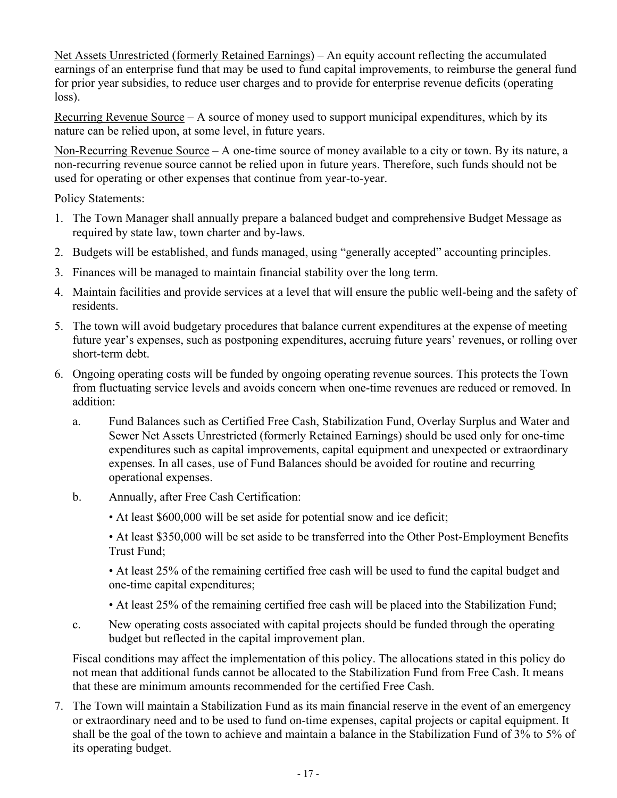Net Assets Unrestricted (formerly Retained Earnings) – An equity account reflecting the accumulated earnings of an enterprise fund that may be used to fund capital improvements, to reimburse the general fund for prior year subsidies, to reduce user charges and to provide for enterprise revenue deficits (operating loss).

Recurring Revenue Source  $-A$  source of money used to support municipal expenditures, which by its nature can be relied upon, at some level, in future years.

Non-Recurring Revenue Source – A one-time source of money available to a city or town. By its nature, a non-recurring revenue source cannot be relied upon in future years. Therefore, such funds should not be used for operating or other expenses that continue from year-to-year.

Policy Statements:

- 1. The Town Manager shall annually prepare a balanced budget and comprehensive Budget Message as required by state law, town charter and by-laws.
- 2. Budgets will be established, and funds managed, using "generally accepted" accounting principles.
- 3. Finances will be managed to maintain financial stability over the long term.
- 4. Maintain facilities and provide services at a level that will ensure the public well-being and the safety of residents.
- 5. The town will avoid budgetary procedures that balance current expenditures at the expense of meeting future year's expenses, such as postponing expenditures, accruing future years' revenues, or rolling over short-term debt.
- 6. Ongoing operating costs will be funded by ongoing operating revenue sources. This protects the Town from fluctuating service levels and avoids concern when one-time revenues are reduced or removed. In addition:
	- a. Fund Balances such as Certified Free Cash, Stabilization Fund, Overlay Surplus and Water and Sewer Net Assets Unrestricted (formerly Retained Earnings) should be used only for one-time expenditures such as capital improvements, capital equipment and unexpected or extraordinary expenses. In all cases, use of Fund Balances should be avoided for routine and recurring operational expenses.
	- b. Annually, after Free Cash Certification:
		- At least \$600,000 will be set aside for potential snow and ice deficit;

• At least \$350,000 will be set aside to be transferred into the Other Post-Employment Benefits Trust Fund;

• At least 25% of the remaining certified free cash will be used to fund the capital budget and one-time capital expenditures;

- At least 25% of the remaining certified free cash will be placed into the Stabilization Fund;
- c. New operating costs associated with capital projects should be funded through the operating budget but reflected in the capital improvement plan.

Fiscal conditions may affect the implementation of this policy. The allocations stated in this policy do not mean that additional funds cannot be allocated to the Stabilization Fund from Free Cash. It means that these are minimum amounts recommended for the certified Free Cash.

7. The Town will maintain a Stabilization Fund as its main financial reserve in the event of an emergency or extraordinary need and to be used to fund on-time expenses, capital projects or capital equipment. It shall be the goal of the town to achieve and maintain a balance in the Stabilization Fund of 3% to 5% of its operating budget.